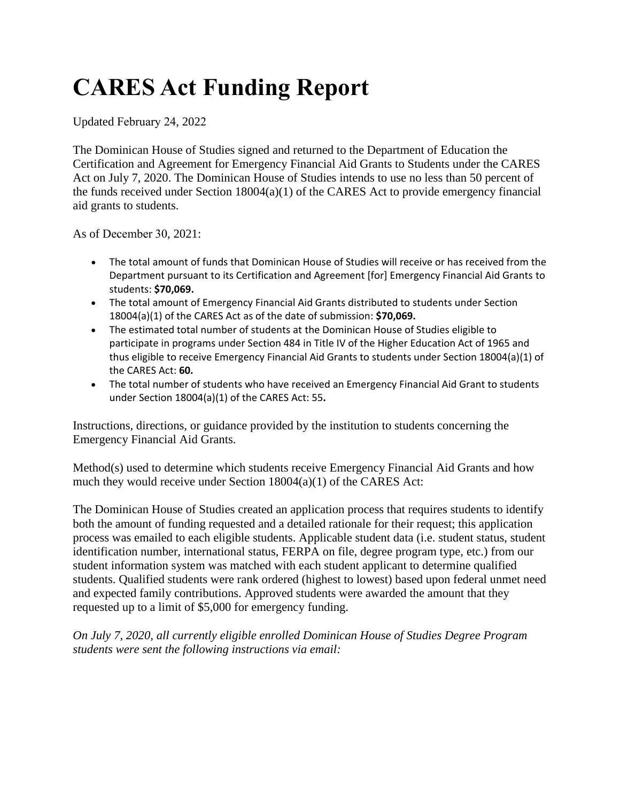## **CARES Act Funding Report**

Updated February 24, 2022

The Dominican House of Studies signed and returned to the Department of Education the Certification and Agreement for Emergency Financial Aid Grants to Students under the CARES Act on July 7, 2020. The Dominican House of Studies intends to use no less than 50 percent of the funds received under Section  $18004(a)(1)$  of the CARES Act to provide emergency financial aid grants to students.

As of December 30, 2021:

- The total amount of funds that Dominican House of Studies will receive or has received from the Department pursuant to its Certification and Agreement [for] Emergency Financial Aid Grants to students: **\$70,069.**
- The total amount of Emergency Financial Aid Grants distributed to students under Section 18004(a)(1) of the CARES Act as of the date of submission: **\$70,069.**
- The estimated total number of students at the Dominican House of Studies eligible to participate in programs under Section 484 in Title IV of the Higher Education Act of 1965 and thus eligible to receive Emergency Financial Aid Grants to students under Section 18004(a)(1) of the CARES Act: **60.**
- The total number of students who have received an Emergency Financial Aid Grant to students under Section 18004(a)(1) of the CARES Act: 55**.**

Instructions, directions, or guidance provided by the institution to students concerning the Emergency Financial Aid Grants.

Method(s) used to determine which students receive Emergency Financial Aid Grants and how much they would receive under Section 18004(a)(1) of the CARES Act:

The Dominican House of Studies created an application process that requires students to identify both the amount of funding requested and a detailed rationale for their request; this application process was emailed to each eligible students. Applicable student data (i.e. student status, student identification number, international status, FERPA on file, degree program type, etc.) from our student information system was matched with each student applicant to determine qualified students. Qualified students were rank ordered (highest to lowest) based upon federal unmet need and expected family contributions. Approved students were awarded the amount that they requested up to a limit of \$5,000 for emergency funding.

*On July 7, 2020, all currently eligible enrolled Dominican House of Studies Degree Program students were sent the following instructions via email:*